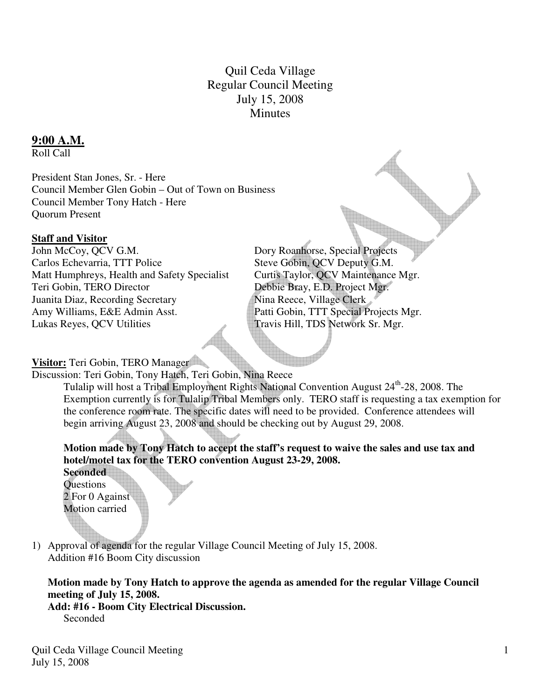# Quil Ceda Village Regular Council Meeting July 15, 2008 **Minutes**

### **9:00 A.M.**

Roll Call

President Stan Jones, Sr. - Here Council Member Glen Gobin – Out of Town on Business Council Member Tony Hatch - Here Quorum Present

### **Staff and Visitor**

John McCoy, QCV G.M. Dory Roanhorse, Special Projects Carlos Echevarria, TTT Police Steve Gobin, QCV Deputy G.M. Matt Humphreys, Health and Safety Specialist Curtis Taylor, QCV Maintenance Mgr. Teri Gobin, TERO Director Debbie Bray, E.D. Project Mgr. Juanita Diaz, Recording Secretary Nina Reece, Village Clerk Amy Williams, E&E Admin Asst. Patti Gobin, TTT Special Projects Mgr. Lukas Reyes, QCV Utilities Travis Hill, TDS Network Sr. Mgr.

### **Visitor:** Teri Gobin, TERO Manager

Discussion: Teri Gobin, Tony Hatch, Teri Gobin, Nina Reece

Tulalip will host a Tribal Employment Rights National Convention August 24<sup>th</sup>-28, 2008. The Exemption currently is for Tulalip Tribal Members only. TERO staff is requesting a tax exemption for the conference room rate. The specific dates will need to be provided. Conference attendees will begin arriving August 23, 2008 and should be checking out by August 29, 2008.

## **Motion made by Tony Hatch to accept the staff's request to waive the sales and use tax and hotel/motel tax for the TERO convention August 23-29, 2008.**

**Seconded Questions** 2 For 0 Against Motion carried

1) Approval of agenda for the regular Village Council Meeting of July 15, 2008. Addition #16 Boom City discussion

**Motion made by Tony Hatch to approve the agenda as amended for the regular Village Council meeting of July 15, 2008.** 

**Add: #16 - Boom City Electrical Discussion.**  Seconded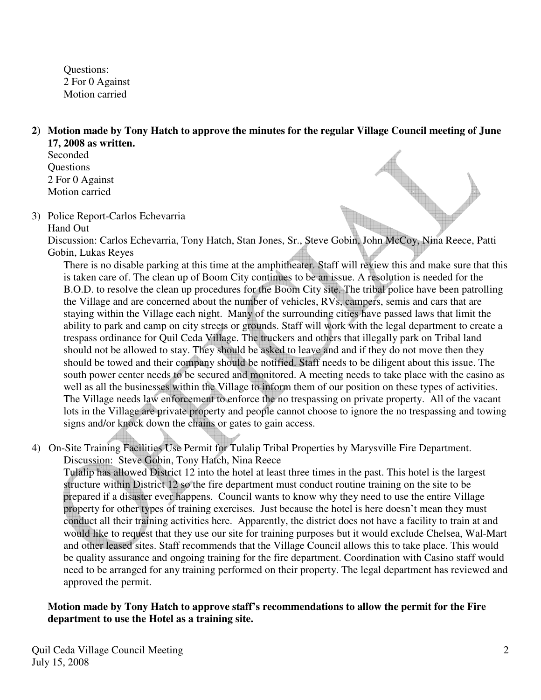Questions: 2 For 0 Against Motion carried

**2) Motion made by Tony Hatch to approve the minutes for the regular Village Council meeting of June 17, 2008 as written.** 

- Seconded **Ouestions** 2 For 0 Against Motion carried
- 3) Police Report-Carlos Echevarria

#### Hand Out

Discussion: Carlos Echevarria, Tony Hatch, Stan Jones, Sr., Steve Gobin, John McCoy, Nina Reece, Patti Gobin, Lukas Reyes

 There is no disable parking at this time at the amphitheater. Staff will review this and make sure that this is taken care of. The clean up of Boom City continues to be an issue. A resolution is needed for the B.O.D. to resolve the clean up procedures for the Boom City site. The tribal police have been patrolling the Village and are concerned about the number of vehicles, RVs, campers, semis and cars that are staying within the Village each night. Many of the surrounding cities have passed laws that limit the ability to park and camp on city streets or grounds. Staff will work with the legal department to create a trespass ordinance for Quil Ceda Village. The truckers and others that illegally park on Tribal land should not be allowed to stay. They should be asked to leave and and if they do not move then they should be towed and their company should be notified. Staff needs to be diligent about this issue. The south power center needs to be secured and monitored. A meeting needs to take place with the casino as well as all the businesses within the Village to inform them of our position on these types of activities. The Village needs law enforcement to enforce the no trespassing on private property. All of the vacant lots in the Village are private property and people cannot choose to ignore the no trespassing and towing signs and/or knock down the chains or gates to gain access.

4) On-Site Training Facilities Use Permit for Tulalip Tribal Properties by Marysville Fire Department. Discussion: Steve Gobin, Tony Hatch, Nina Reece

Tulalip has allowed District 12 into the hotel at least three times in the past. This hotel is the largest structure within District 12 so the fire department must conduct routine training on the site to be prepared if a disaster ever happens. Council wants to know why they need to use the entire Village property for other types of training exercises. Just because the hotel is here doesn't mean they must conduct all their training activities here. Apparently, the district does not have a facility to train at and would like to request that they use our site for training purposes but it would exclude Chelsea, Wal-Mart and other leased sites. Staff recommends that the Village Council allows this to take place. This would be quality assurance and ongoing training for the fire department. Coordination with Casino staff would need to be arranged for any training performed on their property. The legal department has reviewed and approved the permit.

### **Motion made by Tony Hatch to approve staff's recommendations to allow the permit for the Fire department to use the Hotel as a training site.**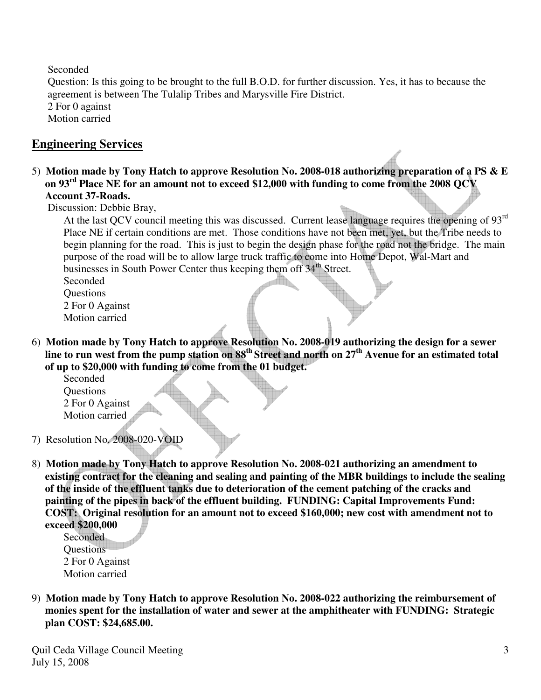Seconded

Question: Is this going to be brought to the full B.O.D. for further discussion. Yes, it has to because the agreement is between The Tulalip Tribes and Marysville Fire District. 2 For 0 against Motion carried

# **Engineering Services**

5) **Motion made by Tony Hatch to approve Resolution No. 2008-018 authorizing preparation of a PS & E on 93rd Place NE for an amount not to exceed \$12,000 with funding to come from the 2008 QCV Account 37-Roads.** 

Discussion: Debbie Bray,

At the last QCV council meeting this was discussed. Current lease language requires the opening of 93<sup>rd</sup> Place NE if certain conditions are met. Those conditions have not been met, yet, but the Tribe needs to begin planning for the road. This is just to begin the design phase for the road not the bridge. The main purpose of the road will be to allow large truck traffic to come into Home Depot, Wal-Mart and businesses in South Power Center thus keeping them off 34<sup>th</sup> Street.

 Seconded **Ouestions**  2 For 0 Against Motion carried

6) **Motion made by Tony Hatch to approve Resolution No. 2008-019 authorizing the design for a sewer line to run west from the pump station on 88th Street and north on 27th Avenue for an estimated total of up to \$20,000 with funding to come from the 01 budget.** 

Seconded **Ouestions**  2 For 0 Against Motion carried

- 7) Resolution No. 2008-020-VOID
- 8) **Motion made by Tony Hatch to approve Resolution No. 2008-021 authorizing an amendment to existing contract for the cleaning and sealing and painting of the MBR buildings to include the sealing of the inside of the effluent tanks due to deterioration of the cement patching of the cracks and painting of the pipes in back of the effluent building. FUNDING: Capital Improvements Fund: COST: Original resolution for an amount not to exceed \$160,000; new cost with amendment not to exceed \$200,000**

 Seconded **Questions**  2 For 0 Against Motion carried

9) **Motion made by Tony Hatch to approve Resolution No. 2008-022 authorizing the reimbursement of monies spent for the installation of water and sewer at the amphitheater with FUNDING: Strategic plan COST: \$24,685.00.**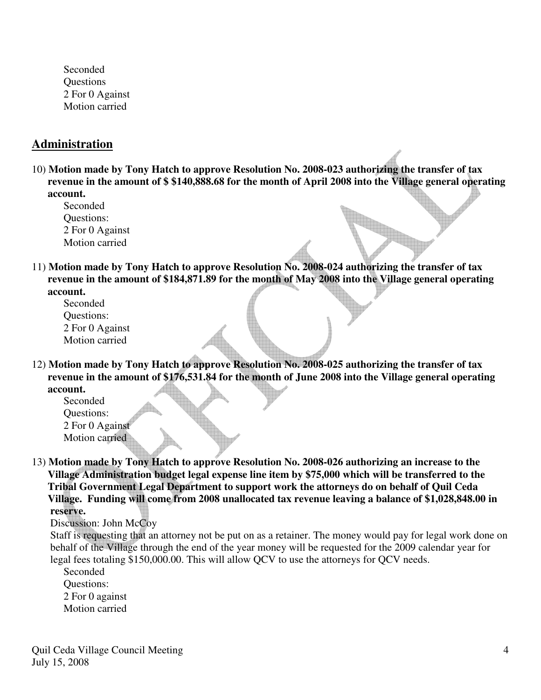Seconded **Questions** 2 For 0 Against Motion carried

## **Administration**

- 10) **Motion made by Tony Hatch to approve Resolution No. 2008-023 authorizing the transfer of tax revenue in the amount of \$ \$140,888.68 for the month of April 2008 into the Village general operating account.** 
	- Seconded Questions: 2 For 0 Against Motion carried
- 11) **Motion made by Tony Hatch to approve Resolution No. 2008-024 authorizing the transfer of tax revenue in the amount of \$184,871.89 for the month of May 2008 into the Village general operating account.**

Seconded Questions: 2 For 0 Against Motion carried

12) **Motion made by Tony Hatch to approve Resolution No. 2008-025 authorizing the transfer of tax revenue in the amount of \$176,531.84 for the month of June 2008 into the Village general operating account.** 

 Seconded Questions: 2 For 0 Against Motion carried

13) **Motion made by Tony Hatch to approve Resolution No. 2008-026 authorizing an increase to the Village Administration budget legal expense line item by \$75,000 which will be transferred to the Tribal Government Legal Department to support work the attorneys do on behalf of Quil Ceda Village. Funding will come from 2008 unallocated tax revenue leaving a balance of \$1,028,848.00 in reserve.** 

Discussion: John McCoy

 Staff is requesting that an attorney not be put on as a retainer. The money would pay for legal work done on behalf of the Village through the end of the year money will be requested for the 2009 calendar year for legal fees totaling \$150,000.00. This will allow QCV to use the attorneys for QCV needs.

 Seconded Questions: 2 For 0 against Motion carried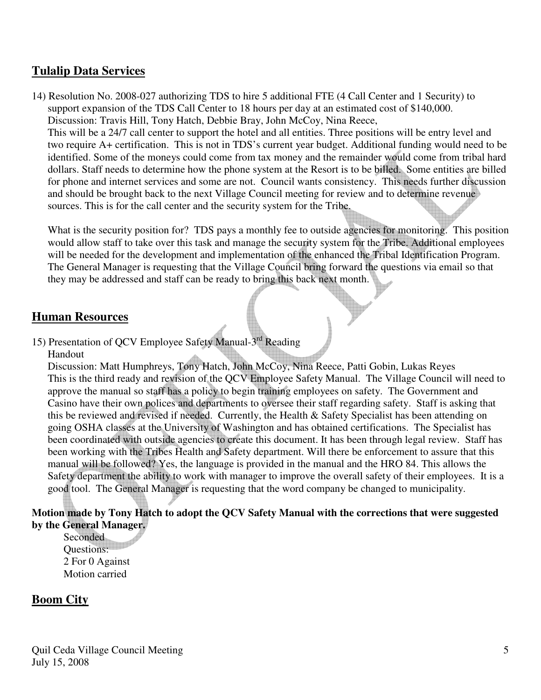## **Tulalip Data Services**

14) Resolution No. 2008-027 authorizing TDS to hire 5 additional FTE (4 Call Center and 1 Security) to support expansion of the TDS Call Center to 18 hours per day at an estimated cost of \$140,000. Discussion: Travis Hill, Tony Hatch, Debbie Bray, John McCoy, Nina Reece, This will be a 24/7 call center to support the hotel and all entities. Three positions will be entry level and two require A+ certification. This is not in TDS's current year budget. Additional funding would need to be identified. Some of the moneys could come from tax money and the remainder would come from tribal hard dollars. Staff needs to determine how the phone system at the Resort is to be billed. Some entities are billed for phone and internet services and some are not. Council wants consistency. This needs further discussion and should be brought back to the next Village Council meeting for review and to determine revenue sources. This is for the call center and the security system for the Tribe.

What is the security position for? TDS pays a monthly fee to outside agencies for monitoring. This position would allow staff to take over this task and manage the security system for the Tribe. Additional employees will be needed for the development and implementation of the enhanced the Tribal Identification Program. The General Manager is requesting that the Village Council bring forward the questions via email so that they may be addressed and staff can be ready to bring this back next month.

## **Human Resources**

15) Presentation of QCV Employee Safety Manual-3rd Reading

Handout

 Discussion: Matt Humphreys, Tony Hatch, John McCoy, Nina Reece, Patti Gobin, Lukas Reyes This is the third ready and revision of the QCV Employee Safety Manual. The Village Council will need to approve the manual so staff has a policy to begin training employees on safety. The Government and Casino have their own polices and departments to oversee their staff regarding safety. Staff is asking that this be reviewed and revised if needed. Currently, the Health & Safety Specialist has been attending on going OSHA classes at the University of Washington and has obtained certifications. The Specialist has been coordinated with outside agencies to create this document. It has been through legal review. Staff has been working with the Tribes Health and Safety department. Will there be enforcement to assure that this manual will be followed? Yes, the language is provided in the manual and the HRO 84. This allows the Safety department the ability to work with manager to improve the overall safety of their employees. It is a good tool. The General Manager is requesting that the word company be changed to municipality.

### **Motion made by Tony Hatch to adopt the QCV Safety Manual with the corrections that were suggested by the General Manager.**

Seconded Questions: 2 For 0 Against Motion carried

# **Boom City**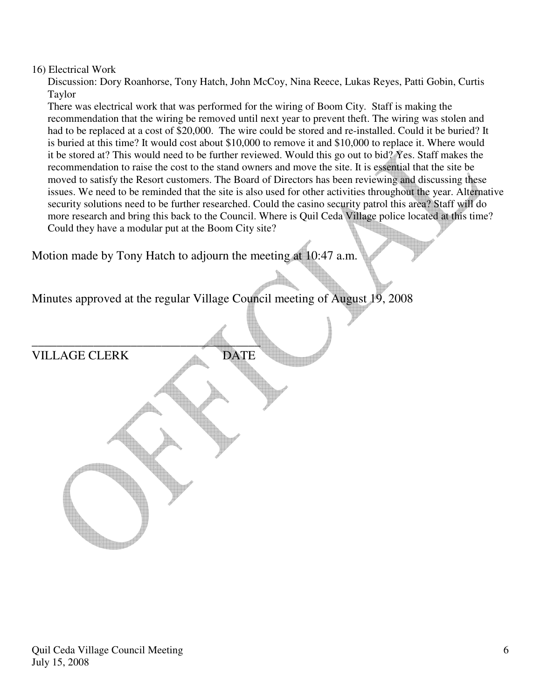#### 16) Electrical Work

 Discussion: Dory Roanhorse, Tony Hatch, John McCoy, Nina Reece, Lukas Reyes, Patti Gobin, Curtis Taylor

 There was electrical work that was performed for the wiring of Boom City. Staff is making the recommendation that the wiring be removed until next year to prevent theft. The wiring was stolen and had to be replaced at a cost of \$20,000. The wire could be stored and re-installed. Could it be buried? It is buried at this time? It would cost about \$10,000 to remove it and \$10,000 to replace it. Where would it be stored at? This would need to be further reviewed. Would this go out to bid? Yes. Staff makes the recommendation to raise the cost to the stand owners and move the site. It is essential that the site be moved to satisfy the Resort customers. The Board of Directors has been reviewing and discussing these issues. We need to be reminded that the site is also used for other activities throughout the year. Alternative security solutions need to be further researched. Could the casino security patrol this area? Staff will do more research and bring this back to the Council. Where is Quil Ceda Village police located at this time? Could they have a modular put at the Boom City site?

Motion made by Tony Hatch to adjourn the meeting at 10:47 a.m.

Minutes approved at the regular Village Council meeting of August 19, 2008